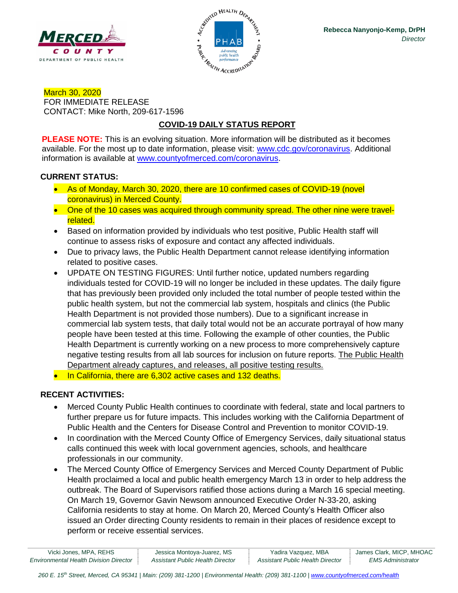



March 30, 2020 FOR IMMEDIATE RELEASE CONTACT: Mike North, 209-617-1596

# **COVID-19 DAILY STATUS REPORT**

**PLEASE NOTE:** This is an evolving situation. More information will be distributed as it becomes available. For the most up to date information, please visit: [www.cdc.gov/coronavirus.](http://www.cdc.gov/coronavirus) Additional information is available at [www.countyofmerced.com/coronavirus.](http://www.countyofmerced.com/coronavirus)

#### **CURRENT STATUS:**

- As of Monday, March 30, 2020, there are 10 confirmed cases of COVID-19 (novel coronavirus) in Merced County.
- One of the 10 cases was acquired through community spread. The other nine were travelrelated.
- Based on information provided by individuals who test positive, Public Health staff will continue to assess risks of exposure and contact any affected individuals.
- Due to privacy laws, the Public Health Department cannot release identifying information related to positive cases.
- UPDATE ON TESTING FIGURES: Until further notice, updated numbers regarding individuals tested for COVID-19 will no longer be included in these updates. The daily figure that has previously been provided only included the total number of people tested within the public health system, but not the commercial lab system, hospitals and clinics (the Public Health Department is not provided those numbers). Due to a significant increase in commercial lab system tests, that daily total would not be an accurate portrayal of how many people have been tested at this time. Following the example of other counties, the Public Health Department is currently working on a new process to more comprehensively capture negative testing results from all lab sources for inclusion on future reports. The Public Health Department already captures, and releases, all positive testing results.
- In California, there are 6,302 active cases and 132 deaths.

### **RECENT ACTIVITIES:**

- Merced County Public Health continues to coordinate with federal, state and local partners to further prepare us for future impacts. This includes working with the California Department of Public Health and the Centers for Disease Control and Prevention to monitor COVID-19.
- In coordination with the Merced County Office of Emergency Services, daily situational status calls continued this week with local government agencies, schools, and healthcare professionals in our community.
- The Merced County Office of Emergency Services and Merced County Department of Public Health proclaimed a local and public health emergency March 13 in order to help address the outbreak. The Board of Supervisors ratified those actions during a March 16 special meeting. On March 19, Governor Gavin Newsom announced Executive Order N-33-20, asking California residents to stay at home. On March 20, Merced County's Health Officer also issued an Order directing County residents to remain in their places of residence except to perform or receive essential services.

| Vicki Jones, MPA, REHS                        | Jessica Montoya-Juarez, MS       | Yadira Vazquez, MBA              | James Clark, MICP, MHOAC |
|-----------------------------------------------|----------------------------------|----------------------------------|--------------------------|
| <b>Environmental Health Division Director</b> | Assistant Public Health Director | Assistant Public Health Director | <i>EMS Administrator</i> |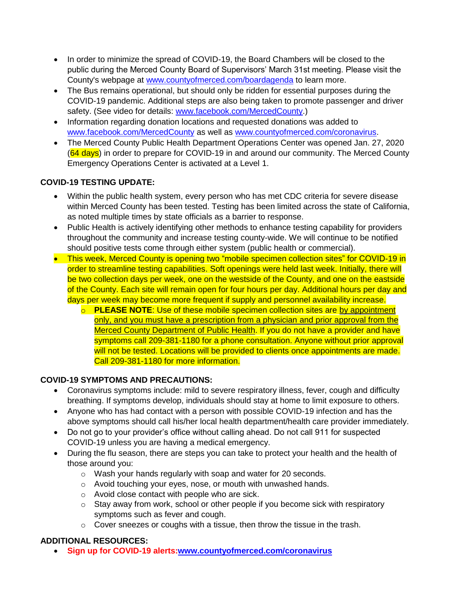- In order to minimize the spread of COVID-19, the Board Chambers will be closed to the public during the Merced County Board of Supervisors' March 31st meeting. Please visit the County's webpage at [www.countyofmerced.com/boardagenda](http://www.countyofmerced.com/boardagenda) to learn more.
- The Bus remains operational, but should only be ridden for essential purposes during the COVID-19 pandemic. Additional steps are also being taken to promote passenger and driver safety. (See video for details: [www.facebook.com/MercedCounty.](http://www.facebook.com/MercedCounty))
- Information regarding donation locations and requested donations was added to [www.facebook.com/MercedCounty](http://www.facebook.com/MercedCounty) as well as [www.countyofmerced.com/coronavirus.](http://www.countyofmerced.com/coronavirus)
- The Merced County Public Health Department Operations Center was opened Jan. 27, 2020 (64 days) in order to prepare for COVID-19 in and around our community. The Merced County Emergency Operations Center is activated at a Level 1.

## **COVID-19 TESTING UPDATE:**

- Within the public health system, every person who has met CDC criteria for severe disease within Merced County has been tested. Testing has been limited across the state of California, as noted multiple times by state officials as a barrier to response.
- Public Health is actively identifying other methods to enhance testing capability for providers throughout the community and increase testing county-wide. We will continue to be notified should positive tests come through either system (public health or commercial).
- This week, Merced County is opening two "mobile specimen collection sites" for COVID-19 in order to streamline testing capabilities. Soft openings were held last week. Initially, there will be two collection days per week, one on the westside of the County, and one on the eastside of the County. Each site will remain open for four hours per day. Additional hours per day and days per week may become more frequent if supply and personnel availability increase.
	- o **PLEASE NOTE**: Use of these mobile specimen collection sites are by appointment only, and you must have a prescription from a physician and prior approval from the Merced County Department of Public Health. If you do not have a provider and have symptoms call 209-381-1180 for a phone consultation. Anyone without prior approval will not be tested. Locations will be provided to clients once appointments are made. Call 209-381-1180 for more information.

### **COVID-19 SYMPTOMS AND PRECAUTIONS:**

- Coronavirus symptoms include: mild to severe respiratory illness, fever, cough and difficulty breathing. If symptoms develop, individuals should stay at home to limit exposure to others.
- Anyone who has had contact with a person with possible COVID-19 infection and has the above symptoms should call his/her local health department/health care provider immediately.
- Do not go to your provider's office without calling ahead. Do not call 911 for suspected COVID-19 unless you are having a medical emergency.
- During the flu season, there are steps you can take to protect your health and the health of those around you:
	- o Wash your hands regularly with soap and water for 20 seconds.
	- o Avoid touching your eyes, nose, or mouth with unwashed hands.
	- o Avoid close contact with people who are sick.
	- $\circ$  Stay away from work, school or other people if you become sick with respiratory symptoms such as fever and cough.
	- $\circ$  Cover sneezes or coughs with a tissue, then throw the tissue in the trash.

## **ADDITIONAL RESOURCES:**

• **Sign up for COVID-19 alerts[:www.countyofmerced.com/coronavirus](http://www.countyofmerced.com/coronavirus)**